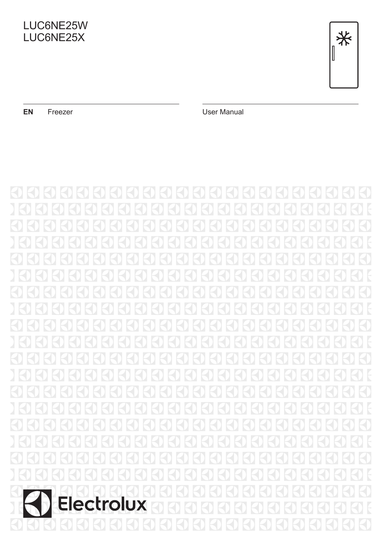



**EN** Freezer **Contract Contract Contract Contract Contract Contract Contract Contract Contract Contract Contract Contract Contract Contract Contract Contract Contract Contract Contract Contract Contract Contract Contract C** 

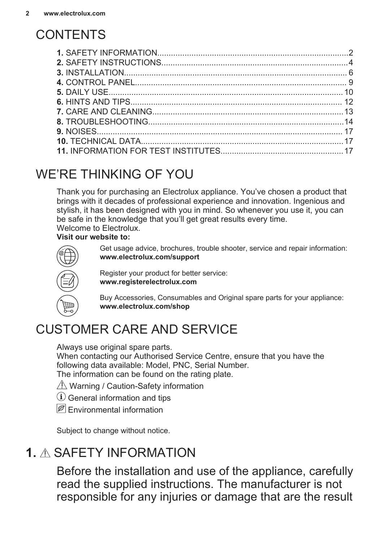# **CONTENTS**

# WE'RE THINKING OF YOU

Thank you for purchasing an Electrolux appliance. You've chosen a product that brings with it decades of professional experience and innovation. Ingenious and stylish, it has been designed with you in mind. So whenever you use it, you can be safe in the knowledge that you'll get great results every time. Welcome to Electrolux.

#### **Visit our website to:**



Get usage advice, brochures, trouble shooter, service and repair information: **www.electrolux.com/support**

Register your product for better service: **www.registerelectrolux.com**

Buy Accessories, Consumables and Original spare parts for your appliance: **www.electrolux.com/shop**

# CUSTOMER CARE AND SERVICE

Always use original spare parts.

When contacting our Authorised Service Centre, ensure that you have the following data available: Model, PNC, Serial Number.

The information can be found on the rating plate.

- $\triangle$  Warning / Caution-Safety information
- General information and tips
- **P** Environmental information

Subject to change without notice.

# **1.** SAFETY INFORMATION

Before the installation and use of the appliance, carefully read the supplied instructions. The manufacturer is not responsible for any injuries or damage that are the result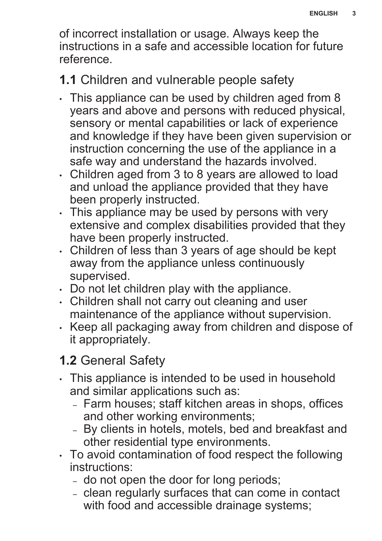of incorrect installation or usage. Always keep the instructions in a safe and accessible location for future reference.

# **1.1** Children and vulnerable people safety

- This appliance can be used by children aged from 8 years and above and persons with reduced physical, sensory or mental capabilities or lack of experience and knowledge if they have been given supervision or instruction concerning the use of the appliance in a safe way and understand the hazards involved.
- Children aged from 3 to 8 years are allowed to load and unload the appliance provided that they have been properly instructed.
- This appliance may be used by persons with very extensive and complex disabilities provided that they have been properly instructed.
- Children of less than 3 years of age should be kept away from the appliance unless continuously supervised.
- Do not let children play with the appliance.
- Children shall not carry out cleaning and user maintenance of the appliance without supervision.
- Keep all packaging away from children and dispose of it appropriately.

# **1.2** General Safety

- This appliance is intended to be used in household and similar applications such as:
	- Farm houses; staff kitchen areas in shops, offices and other working environments;
	- By clients in hotels, motels, bed and breakfast and other residential type environments.
- To avoid contamination of food respect the following instructions:
	- do not open the door for long periods;
	- clean regularly surfaces that can come in contact with food and accessible drainage systems;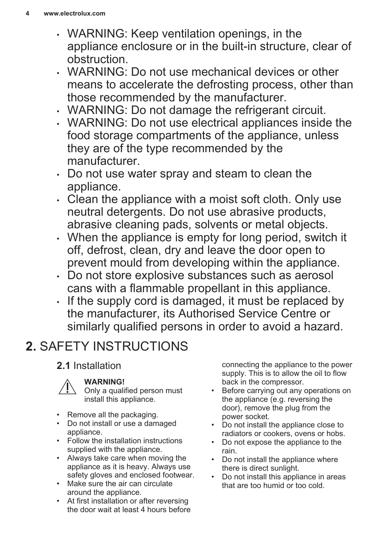- <span id="page-3-0"></span>• WARNING: Keep ventilation openings, in the appliance enclosure or in the built-in structure, clear of obstruction.
- WARNING: Do not use mechanical devices or other means to accelerate the defrosting process, other than those recommended by the manufacturer.
- WARNING: Do not damage the refrigerant circuit.
- WARNING: Do not use electrical appliances inside the food storage compartments of the appliance, unless they are of the type recommended by the manufacturer.
- Do not use water spray and steam to clean the appliance.
- Clean the appliance with a moist soft cloth. Only use neutral detergents. Do not use abrasive products, abrasive cleaning pads, solvents or metal objects.
- When the appliance is empty for long period, switch it off, defrost, clean, dry and leave the door open to prevent mould from developing within the appliance.
- Do not store explosive substances such as aerosol cans with a flammable propellant in this appliance.
- If the supply cord is damaged, it must be replaced by the manufacturer, its Authorised Service Centre or similarly qualified persons in order to avoid a hazard.

# **2.** SAFETY INSTRUCTIONS

# **2.1** Installation



### **WARNING!**

Only a qualified person must install this appliance.

- Remove all the packaging.
- Do not install or use a damaged appliance.
- Follow the installation instructions supplied with the appliance.
- Always take care when moving the appliance as it is heavy. Always use safety gloves and enclosed footwear.
- Make sure the air can circulate around the appliance.
- At first installation or after reversing the door wait at least 4 hours before

connecting the appliance to the power supply. This is to allow the oil to flow back in the compressor.

- Before carrying out any operations on the appliance (e.g. reversing the door), remove the plug from the power socket.
- Do not install the appliance close to radiators or cookers, ovens or hobs.
- Do not expose the appliance to the rain.
- Do not install the appliance where there is direct sunlight.
- Do not install this appliance in areas that are too humid or too cold.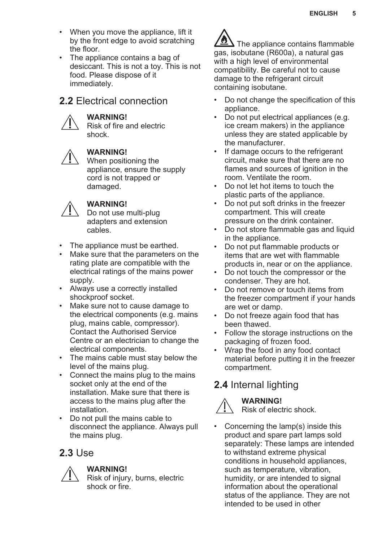- When you move the appliance, lift it by the front edge to avoid scratching the floor.
- The appliance contains a bag of desiccant. This is not a toy. This is not food. Please dispose of it immediately.

### **2.2** Electrical connection

#### **WARNING!**

Risk of fire and electric shock.



#### **WARNING!**

When positioning the appliance, ensure the supply cord is not trapped or damaged.



#### **WARNING!**

Do not use multi-plug adapters and extension cables.

- The appliance must be earthed.
- Make sure that the parameters on the rating plate are compatible with the electrical ratings of the mains power supply.
- Always use a correctly installed shockproof socket.
- Make sure not to cause damage to the electrical components (e.g. mains plug, mains cable, compressor). Contact the Authorised Service Centre or an electrician to change the electrical components.
- The mains cable must stay below the level of the mains plug.
- Connect the mains plug to the mains socket only at the end of the installation. Make sure that there is access to the mains plug after the installation.
- Do not pull the mains cable to disconnect the appliance. Always pull the mains plug.

### **2.3** Use



#### **WARNING!**

Risk of injury, burns, electric shock or fire.



- Do not change the specification of this appliance.
- Do not put electrical appliances (e.g. ice cream makers) in the appliance unless they are stated applicable by the manufacturer.
- If damage occurs to the refrigerant circuit, make sure that there are no flames and sources of ignition in the room. Ventilate the room.
- Do not let hot items to touch the plastic parts of the appliance.
- Do not put soft drinks in the freezer compartment. This will create pressure on the drink container.
- Do not store flammable gas and liquid in the appliance.
- Do not put flammable products or items that are wet with flammable products in, near or on the appliance.
- Do not touch the compressor or the condenser. They are hot.
- Do not remove or touch items from the freezer compartment if your hands are wet or damp.
- Do not freeze again food that has been thawed.
- Follow the storage instructions on the packaging of frozen food.
- Wrap the food in any food contact material before putting it in the freezer compartment.

# **2.4** Internal lighting



#### **WARNING!** Risk of electric shock.

• Concerning the lamp(s) inside this product and spare part lamps sold separately: These lamps are intended to withstand extreme physical conditions in household appliances, such as temperature, vibration, humidity, or are intended to signal information about the operational status of the appliance. They are not intended to be used in other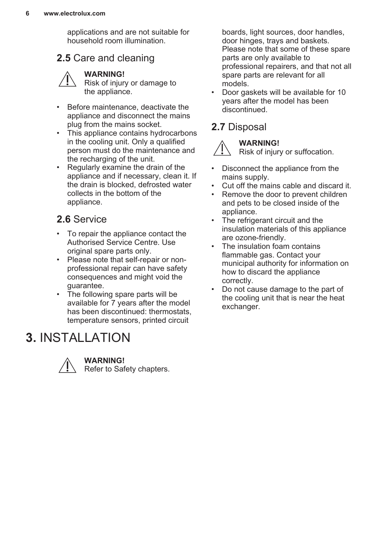<span id="page-5-0"></span>applications and are not suitable for household room illumination.

### **2.5** Care and cleaning



**WARNING!** Risk of injury or damage to the appliance.

- Before maintenance, deactivate the appliance and disconnect the mains plug from the mains socket.
- This appliance contains hydrocarbons in the cooling unit. Only a qualified person must do the maintenance and the recharging of the unit.
- Regularly examine the drain of the appliance and if necessary, clean it. If the drain is blocked, defrosted water collects in the bottom of the appliance.

# **2.6** Service

- To repair the appliance contact the Authorised Service Centre. Use original spare parts only.
- Please note that self-repair or nonprofessional repair can have safety consequences and might void the guarantee.
- The following spare parts will be available for 7 years after the model has been discontinued: thermostats, temperature sensors, printed circuit

# **3.** INSTALLATION



**WARNING!**

Refer to Safety chapters.

boards, light sources, door handles, door hinges, trays and baskets. Please note that some of these spare parts are only available to professional repairers, and that not all spare parts are relevant for all models.

• Door gaskets will be available for 10 years after the model has been discontinued.

# **2.7** Disposal



**WARNING!**

Risk of injury or suffocation.

- Disconnect the appliance from the mains supply.
- Cut off the mains cable and discard it.<br>• Bemove the door to prevent children
- Remove the door to prevent children and pets to be closed inside of the appliance.
- The refrigerant circuit and the insulation materials of this appliance are ozone-friendly.
- The insulation foam contains flammable gas. Contact your municipal authority for information on how to discard the appliance correctly.
- Do not cause damage to the part of the cooling unit that is near the heat exchanger.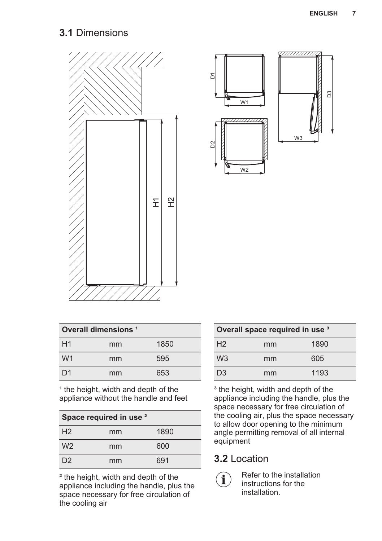# **3.1** Dimensions





| Overall dimensions <sup>1</sup> |    |      |
|---------------------------------|----|------|
| H1                              | mm | 1850 |
| W <sub>1</sub>                  | mm | 595  |
| D1                              | mm | 653  |

<sup>1</sup> the height, width and depth of the appliance without the handle and feet

| Space required in use <sup>2</sup> |    |      |  |
|------------------------------------|----|------|--|
| H <sub>2</sub>                     | mm | 1890 |  |
| W <sub>2</sub>                     | mm | 600  |  |
| D <sub>2</sub>                     | mm | 691  |  |

² the height, width and depth of the appliance including the handle, plus the space necessary for free circulation of the cooling air

| Overall space required in use 3 |    |      |
|---------------------------------|----|------|
| H <sub>2</sub>                  | mm | 1890 |
| W <sub>3</sub>                  | mm | 605  |
| D <sub>3</sub>                  | mm | 1193 |

<sup>3</sup> the height, width and depth of the appliance including the handle, plus the space necessary for free circulation of the cooling air, plus the space necessary to allow door opening to the minimum angle permitting removal of all internal equipment

# **3.2** Location



Refer to the installation instructions for the installation.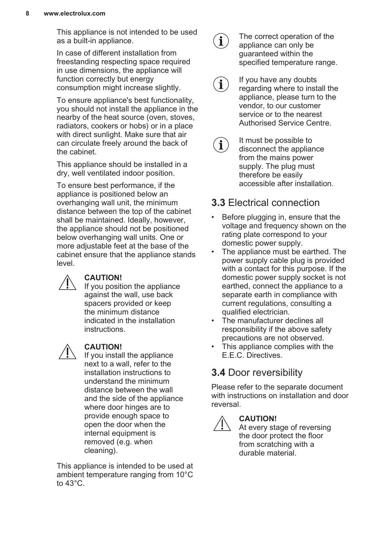This appliance is not intended to be used as a built-in appliance.

In case of different installation from freestanding respecting space required in use dimensions, the appliance will function correctly but energy consumption might increase slightly.

To ensure appliance's best functionality, you should not install the appliance in the nearby of the heat source (oven, stoves, radiators, cookers or hobs) or in a place with direct sunlight. Make sure that air can circulate freely around the back of the cabinet.

This appliance should be installed in a dry, well ventilated indoor position.

To ensure best performance, if the appliance is positioned below an overhanging wall unit, the minimum distance between the top of the cabinet shall be maintained. Ideally, however, the appliance should not be positioned below overhanging wall units. One or more adjustable feet at the base of the cabinet ensure that the appliance stands level.

#### **CAUTION!**

If you position the appliance against the wall, use back spacers provided or keep the minimum distance indicated in the installation instructions.



#### **CAUTION!**

If you install the appliance next to a wall, refer to the installation instructions to understand the minimum distance between the wall and the side of the appliance where door hinges are to provide enough space to open the door when the internal equipment is removed (e.g. when cleaning).

This appliance is intended to be used at ambient temperature ranging from 10°C to  $43^{\circ}$ C.

 $\mathbf i$ 

The correct operation of the appliance can only be guaranteed within the specified temperature range.

Authorised Service Centre.

- If you have any doubts  $\mathbf{\hat{i}}$ regarding where to install the appliance, please turn to the vendor, to our customer service or to the nearest
- It must be possible to  $\mathbf i$ disconnect the appliance from the mains power supply. The plug must therefore be easily accessible after installation.

# **3.3** Electrical connection

- Before plugging in, ensure that the voltage and frequency shown on the rating plate correspond to your domestic power supply.
- The appliance must be earthed. The power supply cable plug is provided with a contact for this purpose. If the domestic power supply socket is not earthed, connect the appliance to a separate earth in compliance with current regulations, consulting a qualified electrician.
- The manufacturer declines all responsibility if the above safety precautions are not observed.
- This appliance complies with the E.E.C. Directives.

# **3.4** Door reversibility

Please refer to the separate document with instructions on installation and door reversal.



### **CAUTION!**

At every stage of reversing the door protect the floor from scratching with a durable material.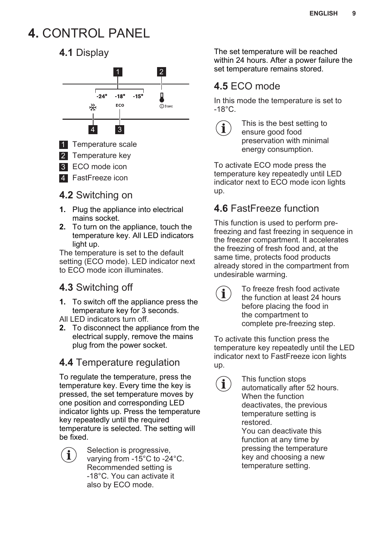# <span id="page-8-0"></span>**4.** CONTROL PANEL

# **4.1** Display



# **4.2** Switching on

- **1.** Plug the appliance into electrical mains socket.
- **2.** To turn on the appliance, touch the temperature key. All LED indicators light up.

The temperature is set to the default setting (ECO mode). LED indicator next to ECO mode icon illuminates.

# **4.3** Switching off

- **1.** To switch off the appliance press the temperature key for 3 seconds.
- All LED indicators turn off.
- **2.** To disconnect the appliance from the electrical supply, remove the mains plug from the power socket.

# **4.4** Temperature regulation

To regulate the temperature, press the temperature key. Every time the key is pressed, the set temperature moves by one position and corresponding LED indicator lights up. Press the temperature key repeatedly until the required temperature is selected. The setting will be fixed.



Selection is progressive, varying from -15°C to -24°C. Recommended setting is -18°C. You can activate it also by ECO mode.

The set temperature will be reached within 24 hours. After a power failure the set temperature remains stored.

# **4.5** ECO mode

In this mode the temperature is set to  $-18^{\circ}$ C.



 $\mathbf i$ 

This is the best setting to ensure good food preservation with minimal energy consumption.

To activate ECO mode press the temperature key repeatedly until LED indicator next to ECO mode icon lights up.

# **4.6** FastFreeze function

This function is used to perform prefreezing and fast freezing in sequence in the freezer compartment. It accelerates the freezing of fresh food and, at the same time, protects food products already stored in the compartment from undesirable warming.

> To freeze fresh food activate the function at least 24 hours before placing the food in the compartment to complete pre-freezing step.

To activate this function press the temperature key repeatedly until the LED indicator next to FastFreeze icon lights up.

> This function stops automatically after 52 hours. When the function deactivates, the previous temperature setting is restored. You can deactivate this function at any time by pressing the temperature key and choosing a new

temperature setting.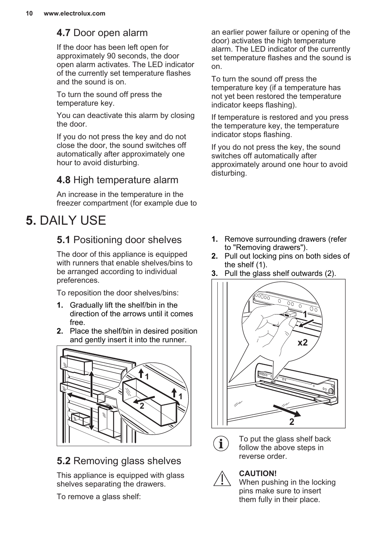### <span id="page-9-0"></span>**4.7** Door open alarm

If the door has been left open for approximately 90 seconds, the door open alarm activates. The LED indicator of the currently set temperature flashes and the sound is on.

To turn the sound off press the temperature key.

You can deactivate this alarm by closing the door.

If you do not press the key and do not close the door, the sound switches off automatically after approximately one hour to avoid disturbing.

### **4.8** High temperature alarm

An increase in the temperature in the freezer compartment (for example due to

# **5.** DAILY USE

# **5.1** Positioning door shelves

The door of this appliance is equipped with runners that enable shelves/bins to be arranged according to individual preferences.

To reposition the door shelves/bins:

- **1.** Gradually lift the shelf/bin in the direction of the arrows until it comes free.
- **2.** Place the shelf/bin in desired position and gently insert it into the runner.



### **5.2** Removing glass shelves

This appliance is equipped with glass shelves separating the drawers.

To remove a glass shelf:

an earlier power failure or opening of the door) activates the high temperature alarm. The LED indicator of the currently set temperature flashes and the sound is on.

To turn the sound off press the temperature key (if a temperature has not yet been restored the temperature indicator keeps flashing).

If temperature is restored and you press the temperature key, the temperature indicator stops flashing.

If you do not press the key, the sound switches off automatically after approximately around one hour to avoid disturbing.

- **1.** Remove surrounding drawers (refer to "Removing drawers").
- **2.** Pull out locking pins on both sides of the shelf (1).
- **3.** Pull the glass shelf outwards (2).





To put the glass shelf back follow the above steps in reverse order.



### **CAUTION!**

When pushing in the locking pins make sure to insert them fully in their place.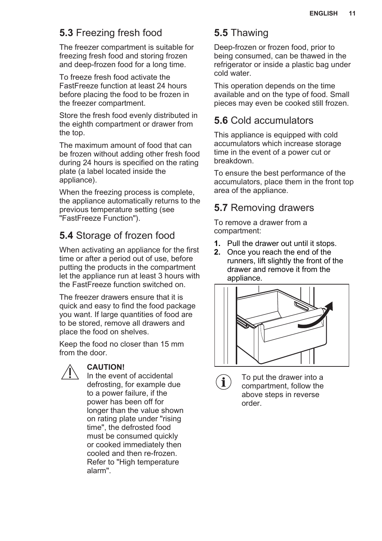# **5.3** Freezing fresh food

The freezer compartment is suitable for freezing fresh food and storing frozen and deep-frozen food for a long time.

To freeze fresh food activate the FastFreeze function at least 24 hours before placing the food to be frozen in the freezer compartment.

Store the fresh food evenly distributed in the eighth compartment or drawer from the top.

The maximum amount of food that can be frozen without adding other fresh food during 24 hours is specified on the rating plate (a label located inside the appliance).

When the freezing process is complete. the appliance automatically returns to the previous temperature setting (see "FastFreeze Function").

# **5.4** Storage of frozen food

When activating an appliance for the first time or after a period out of use, before putting the products in the compartment let the appliance run at least 3 hours with the FastFreeze function switched on.

The freezer drawers ensure that it is quick and easy to find the food package you want. If large quantities of food are to be stored, remove all drawers and place the food on shelves.

Keep the food no closer than 15 mm from the door.



#### **CAUTION!**

In the event of accidental defrosting, for example due to a power failure, if the power has been off for longer than the value shown on rating plate under "rising time", the defrosted food must be consumed quickly or cooked immediately then cooled and then re-frozen. Refer to "High temperature alarm".

### **5.5** Thawing

Deep-frozen or frozen food, prior to being consumed, can be thawed in the refrigerator or inside a plastic bag under cold water.

This operation depends on the time available and on the type of food. Small pieces may even be cooked still frozen.

### **5.6** Cold accumulators

This appliance is equipped with cold accumulators which increase storage time in the event of a power cut or breakdown.

To ensure the best performance of the accumulators, place them in the front top area of the appliance.

# **5.7** Removing drawers

To remove a drawer from a compartment:

- **1.** Pull the drawer out until it stops.
- **2.** Once you reach the end of the runners, lift slightly the front of the drawer and remove it from the appliance.



 $\mathbf{i}$ 

To put the drawer into a compartment, follow the above steps in reverse order.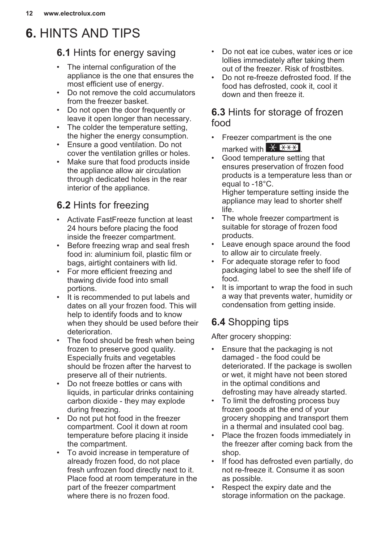# <span id="page-11-0"></span>**6.** HINTS AND TIPS

### **6.1** Hints for energy saving

- The internal configuration of the appliance is the one that ensures the most efficient use of energy.
- Do not remove the cold accumulators from the freezer basket.
- Do not open the door frequently or leave it open longer than necessary.
- The colder the temperature setting, the higher the energy consumption.
- Ensure a good ventilation. Do not cover the ventilation grilles or holes.
- Make sure that food products inside the appliance allow air circulation through dedicated holes in the rear interior of the appliance.

# **6.2** Hints for freezing

- Activate FastFreeze function at least 24 hours before placing the food inside the freezer compartment.
- Before freezing wrap and seal fresh food in: aluminium foil, plastic film or bags, airtight containers with lid.
- For more efficient freezing and thawing divide food into small portions.
- It is recommended to put labels and dates on all your frozen food. This will help to identify foods and to know when they should be used before their deterioration.
- The food should be fresh when being frozen to preserve good quality. Especially fruits and vegetables should be frozen after the harvest to preserve all of their nutrients.
- Do not freeze bottles or cans with liquids, in particular drinks containing carbon dioxide - they may explode during freezing.
- Do not put hot food in the freezer compartment. Cool it down at room temperature before placing it inside the compartment.
- To avoid increase in temperature of already frozen food, do not place fresh unfrozen food directly next to it. Place food at room temperature in the part of the freezer compartment where there is no frozen food.
- Do not eat ice cubes, water ices or ice lollies immediately after taking them out of the freezer. Risk of frostbites.
- Do not re-freeze defrosted food. If the food has defrosted, cook it, cool it down and then freeze it.

### **6.3** Hints for storage of frozen food

- Freezer compartment is the one marked with  $\frac{1}{2}$  \*\*\*
- Good temperature setting that ensures preservation of frozen food products is a temperature less than or equal to -18°C. Higher temperature setting inside the appliance may lead to shorter shelf life.
- The whole freezer compartment is suitable for storage of frozen food products.
- Leave enough space around the food to allow air to circulate freely.
- For adequate storage refer to food packaging label to see the shelf life of food.
- It is important to wrap the food in such a way that prevents water, humidity or condensation from getting inside.

# **6.4** Shopping tips

After grocery shopping:

- Ensure that the packaging is not damaged - the food could be deteriorated. If the package is swollen or wet, it might have not been stored in the optimal conditions and defrosting may have already started.
- To limit the defrosting process buy frozen goods at the end of your grocery shopping and transport them in a thermal and insulated cool bag.
- Place the frozen foods immediately in the freezer after coming back from the shop.
- If food has defrosted even partially, do not re-freeze it. Consume it as soon as possible.
- Respect the expiry date and the storage information on the package.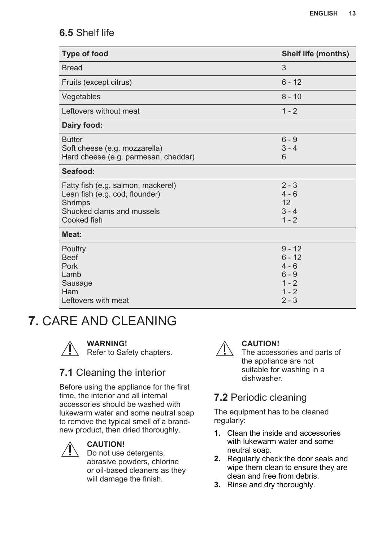### <span id="page-12-0"></span>**6.5** Shelf life

| <b>Type of food</b>                                                                                                         | <b>Shelf life (months)</b>                                                  |
|-----------------------------------------------------------------------------------------------------------------------------|-----------------------------------------------------------------------------|
| <b>Bread</b>                                                                                                                | 3                                                                           |
| Fruits (except citrus)                                                                                                      | $6 - 12$                                                                    |
| Vegetables                                                                                                                  | $8 - 10$                                                                    |
| Leftovers without meat                                                                                                      | $1 - 2$                                                                     |
| Dairy food:                                                                                                                 |                                                                             |
| <b>Butter</b><br>Soft cheese (e.g. mozzarella)<br>Hard cheese (e.g. parmesan, cheddar)                                      | $6 - 9$<br>$3 - 4$<br>6                                                     |
| Seafood:                                                                                                                    |                                                                             |
| Fatty fish (e.g. salmon, mackerel)<br>Lean fish (e.g. cod, flounder)<br>Shrimps<br>Shucked clams and mussels<br>Cooked fish | $2 - 3$<br>$4 - 6$<br>12<br>$3 - 4$<br>$1 - 2$                              |
| Meat:                                                                                                                       |                                                                             |
| Poultry<br><b>Beef</b><br>Pork<br>Lamb<br>Sausage<br>Ham<br>Leftovers with meat                                             | $9 - 12$<br>$6 - 12$<br>$4 - 6$<br>$6 - 9$<br>$1 - 2$<br>$1 - 2$<br>$2 - 3$ |

# **7.** CARE AND CLEANING



#### **WARNING!**

Refer to Safety chapters.

### **7.1** Cleaning the interior

Before using the appliance for the first time, the interior and all internal accessories should be washed with lukewarm water and some neutral soap to remove the typical smell of a brandnew product, then dried thoroughly.



#### **CAUTION!**

Do not use detergents, abrasive powders, chlorine or oil-based cleaners as they will damage the finish.



### **CAUTION!**

The accessories and parts of the appliance are not suitable for washing in a dishwasher.

# **7.2** Periodic cleaning

The equipment has to be cleaned regularly:

- **1.** Clean the inside and accessories with lukewarm water and some neutral soap.
- **2.** Regularly check the door seals and wipe them clean to ensure they are clean and free from debris.
- **3.** Rinse and dry thoroughly.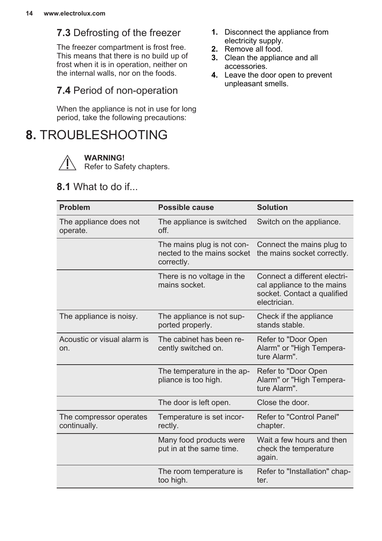# <span id="page-13-0"></span>**7.3** Defrosting of the freezer

The freezer compartment is frost free. This means that there is no build up of frost when it is in operation, neither on the internal walls, nor on the foods.

### **7.4** Period of non-operation

When the appliance is not in use for long period, take the following precautions:

# **8.** TROUBLESHOOTING

**WARNING!**

Refer to Safety chapters.

### **8.1** What to do if...

- **1.** Disconnect the appliance from electricity supply.
- **2.** Remove all food.
- **3.** Clean the appliance and all accessories.
- **4.** Leave the door open to prevent unpleasant smells.

| Problem                                 | Possible cause                                                         | <b>Solution</b>                                                                                           |
|-----------------------------------------|------------------------------------------------------------------------|-----------------------------------------------------------------------------------------------------------|
| The appliance does not<br>operate.      | The appliance is switched<br>off.                                      | Switch on the appliance.                                                                                  |
|                                         | The mains plug is not con-<br>nected to the mains socket<br>correctly. | Connect the mains plug to<br>the mains socket correctly.                                                  |
|                                         | There is no voltage in the<br>mains socket.                            | Connect a different electri-<br>cal appliance to the mains<br>socket. Contact a qualified<br>electrician. |
| The appliance is noisy.                 | The appliance is not sup-<br>ported properly.                          | Check if the appliance<br>stands stable.                                                                  |
| Acoustic or visual alarm is<br>on.      | The cabinet has been re-<br>cently switched on.                        | Refer to "Door Open<br>Alarm" or "High Tempera-<br>ture Alarm".                                           |
|                                         | The temperature in the ap-<br>pliance is too high.                     | Refer to "Door Open<br>Alarm" or "High Tempera-<br>ture Alarm".                                           |
|                                         | The door is left open.                                                 | Close the door.                                                                                           |
| The compressor operates<br>continually. | Temperature is set incor-<br>rectly.                                   | Refer to "Control Panel"<br>chapter.                                                                      |
|                                         | Many food products were<br>put in at the same time.                    | Wait a few hours and then<br>check the temperature<br>again.                                              |
|                                         | The room temperature is<br>too high.                                   | Refer to "Installation" chap-<br>ter.                                                                     |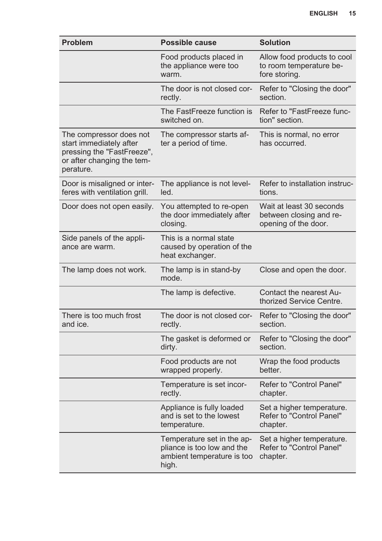| <b>Problem</b>                                                                                                              | Possible cause                                                                                  | <b>Solution</b>                                                             |
|-----------------------------------------------------------------------------------------------------------------------------|-------------------------------------------------------------------------------------------------|-----------------------------------------------------------------------------|
|                                                                                                                             | Food products placed in<br>the appliance were too<br>warm.                                      | Allow food products to cool<br>to room temperature be-<br>fore storing.     |
|                                                                                                                             | The door is not closed cor-<br>rectly.                                                          | Refer to "Closing the door"<br>section.                                     |
|                                                                                                                             | The FastFreeze function is<br>switched on.                                                      | Refer to "FastFreeze func-<br>tion" section.                                |
| The compressor does not<br>start immediately after<br>pressing the "FastFreeze",<br>or after changing the tem-<br>perature. | The compressor starts af-<br>ter a period of time.                                              | This is normal, no error<br>has occurred.                                   |
| Door is misaligned or inter-<br>feres with ventilation grill.                                                               | The appliance is not level-<br>led.                                                             | Refer to installation instruc-<br>tions.                                    |
| Door does not open easily.                                                                                                  | You attempted to re-open<br>the door immediately after<br>closing.                              | Wait at least 30 seconds<br>between closing and re-<br>opening of the door. |
| Side panels of the appli-<br>ance are warm.                                                                                 | This is a normal state<br>caused by operation of the<br>heat exchanger.                         |                                                                             |
| The lamp does not work.                                                                                                     | The lamp is in stand-by<br>mode.                                                                | Close and open the door.                                                    |
|                                                                                                                             | The lamp is defective.                                                                          | Contact the nearest Au-<br>thorized Service Centre.                         |
| There is too much frost<br>and ice.                                                                                         | The door is not closed cor-<br>rectly.                                                          | Refer to "Closing the door"<br>section.                                     |
|                                                                                                                             | The gasket is deformed or<br>dirty.                                                             | Refer to "Closing the door"<br>section.                                     |
|                                                                                                                             | Food products are not<br>wrapped properly.                                                      | Wrap the food products<br>better.                                           |
|                                                                                                                             | Temperature is set incor-<br>rectly.                                                            | Refer to "Control Panel"<br>chapter.                                        |
|                                                                                                                             | Appliance is fully loaded<br>and is set to the lowest<br>temperature.                           | Set a higher temperature.<br>Refer to "Control Panel"<br>chapter.           |
|                                                                                                                             | Temperature set in the ap-<br>pliance is too low and the<br>ambient temperature is too<br>high. | Set a higher temperature.<br>Refer to "Control Panel"<br>chapter.           |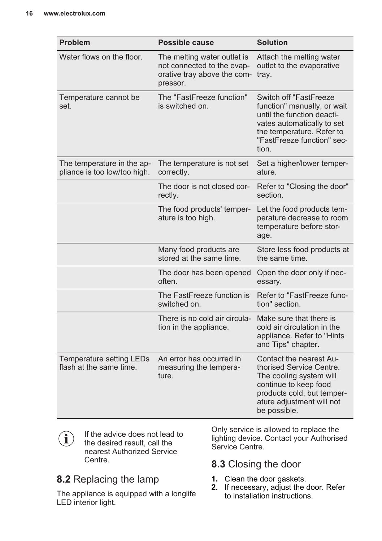| Problem                                                    | Possible cause                                                                                       | <b>Solution</b>                                                                                                                                                                       |
|------------------------------------------------------------|------------------------------------------------------------------------------------------------------|---------------------------------------------------------------------------------------------------------------------------------------------------------------------------------------|
| Water flows on the floor.                                  | The melting water outlet is<br>not connected to the evap-<br>orative tray above the com-<br>pressor. | Attach the melting water<br>outlet to the evaporative<br>tray.                                                                                                                        |
| Temperature cannot be<br>set.                              | The "FastFreeze function"<br>is switched on.                                                         | Switch off "FastFreeze<br>function" manually, or wait<br>until the function deacti-<br>vates automatically to set<br>the temperature. Refer to<br>"FastFreeze function" sec-<br>tion. |
| The temperature in the ap-<br>pliance is too low/too high. | The temperature is not set<br>correctly.                                                             | Set a higher/lower temper-<br>ature.                                                                                                                                                  |
|                                                            | The door is not closed cor-<br>rectly.                                                               | Refer to "Closing the door"<br>section.                                                                                                                                               |
|                                                            | The food products' temper-<br>ature is too high.                                                     | Let the food products tem-<br>perature decrease to room<br>temperature before stor-<br>age.                                                                                           |
|                                                            | Many food products are<br>stored at the same time.                                                   | Store less food products at<br>the same time.                                                                                                                                         |
|                                                            | The door has been opened<br>often.                                                                   | Open the door only if nec-<br>essary.                                                                                                                                                 |
|                                                            | The FastFreeze function is<br>switched on.                                                           | Refer to "FastFreeze func-<br>tion" section.                                                                                                                                          |
|                                                            | There is no cold air circula-<br>tion in the appliance.                                              | Make sure that there is<br>cold air circulation in the<br>appliance. Refer to "Hints<br>and Tips" chapter.                                                                            |
| Temperature setting LEDs<br>flash at the same time.        | An error has occurred in<br>measuring the tempera-<br>ture.                                          | Contact the nearest Au-<br>thorised Service Centre.<br>The cooling system will<br>continue to keep food<br>products cold, but temper-<br>ature adjustment will not<br>be possible.    |

If the advice does not lead to  $\mathbf{(i)}$ the desired result, call the nearest Authorized Service Centre.

# **8.2** Replacing the lamp

The appliance is equipped with a longlife LED interior light.

Only service is allowed to replace the lighting device. Contact your Authorised Service Centre.

### **8.3** Closing the door

- **1.** Clean the door gaskets.
- **2.** If necessary, adjust the door. Refer to installation instructions.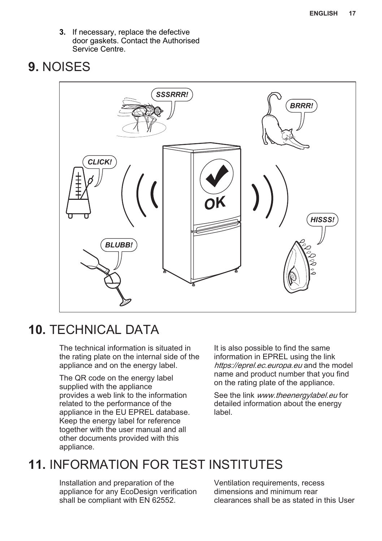<span id="page-16-0"></span>**3.** If necessary, replace the defective door gaskets. Contact the Authorised Service Centre.

# **9.** NOISES



# **10.** TECHNICAL DATA

The technical information is situated in the rating plate on the internal side of the appliance and on the energy label.

The QR code on the energy label supplied with the appliance provides a web link to the information related to the performance of the appliance in the EU EPREL database. Keep the energy label for reference together with the user manual and all other documents provided with this appliance.

It is also possible to find the same information in EPREL using the link https://eprel.ec.europa.eu and the model name and product number that you find on the rating plate of the appliance.

See the link www.theenergylabel.eu for detailed information about the energy label.

# **11.** INFORMATION FOR TEST INSTITUTES

Installation and preparation of the appliance for any EcoDesign verification shall be compliant with EN 62552.

Ventilation requirements, recess dimensions and minimum rear clearances shall be as stated in this User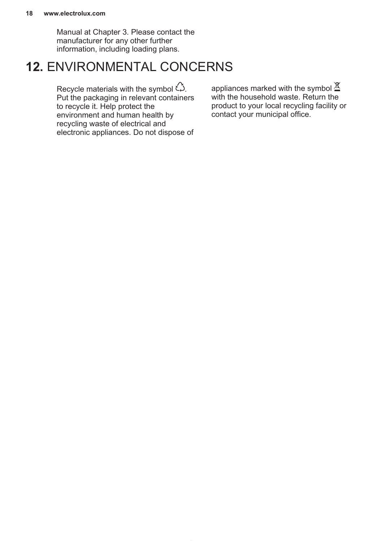#### **18 www.electrolux.com**

Manual at Chapter 3. Please contact the manufacturer for any other further information, including loading plans.

# **12.** ENVIRONMENTAL CONCERNS

Recycle materials with the symbol  $\hat{\omega}$ . Put the packaging in relevant containers to recycle it. Help protect the environment and human health by recycling waste of electrical and electronic appliances. Do not dispose of appliances marked with the symbol  $\mathbb{\underline{\mathfrak{A}}}$ with the household waste. Return the product to your local recycling facility or contact your municipal office.